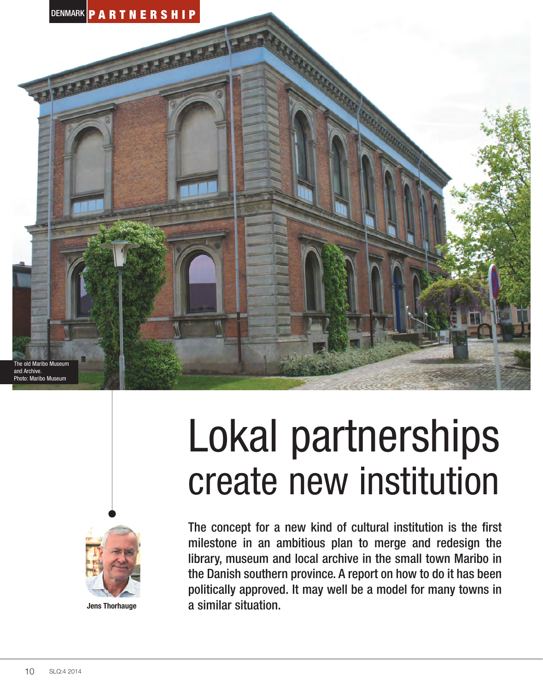



**Jens Thorhauge**

# Lokal partnerships create new institution

The concept for a new kind of cultural institution is the first milestone in an ambitious plan to merge and redesign the library, museum and local archive in the small town Maribo in the Danish southern province. A report on how to do it has been politically approved. It may well be a model for many towns in a similar situation.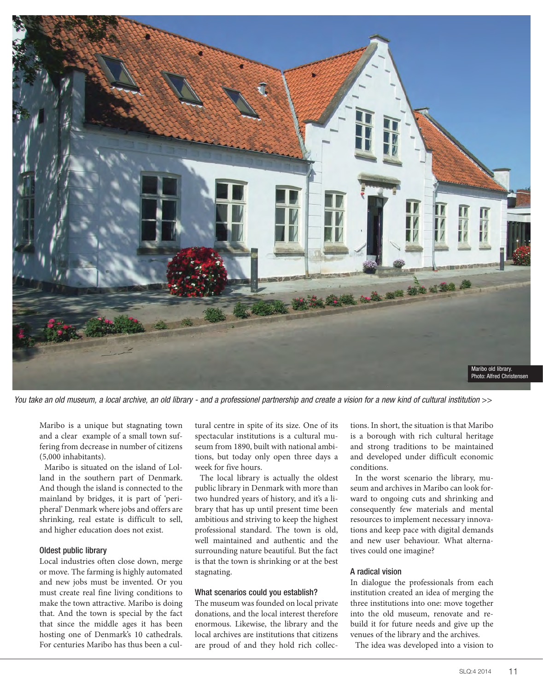

You take an old museum, a local archive, an old library - and a professionel partnership and create a vision for a new kind of cultural institution >>

Maribo is a unique but stagnating town and a clear example of a small town suffering from decrease in number of citizens (5,000 inhabitants).

Maribo is situated on the island of Lolland in the southern part of Denmark. And though the island is connected to the mainland by bridges, it is part of 'peripheral' Denmark where jobs and offers are shrinking, real estate is difficult to sell, and higher education does not exist.

#### Oldest public library

Local industries often close down, merge or move. The farming is highly automated and new jobs must be invented. Or you must create real fine living conditions to make the town attractive. Maribo is doing that. And the town is special by the fact that since the middle ages it has been hosting one of Denmark's 10 cathedrals. For centuries Maribo has thus been a cultural centre in spite of its size. One of its spectacular institutions is a cultural museum from 1890, built with national ambitions, but today only open three days a week for five hours.

The local library is actually the oldest public library in Denmark with more than two hundred years of history, and it's a library that has up until present time been ambitious and striving to keep the highest professional standard. The town is old, well maintained and authentic and the surrounding nature beautiful. But the fact is that the town is shrinking or at the best stagnating.

## What scenarios could you establish?

The museum was founded on local private donations, and the local interest therefore enormous. Likewise, the library and the local archives are institutions that citizens are proud of and they hold rich collections. In short, the situation is that Maribo is a borough with rich cultural heritage and strong traditions to be maintained and developed under difficult economic conditions.

In the worst scenario the library, museum and archives in Maribo can look forward to ongoing cuts and shrinking and consequently few materials and mental resources to implement necessary innovations and keep pace with digital demands and new user behaviour. What alternatives could one imagine?

#### A radical vision

In dialogue the professionals from each institution created an idea of merging the three institutions into one: move together into the old museum, renovate and rebuild it for future needs and give up the venues of the library and the archives.

The idea was developed into a vision to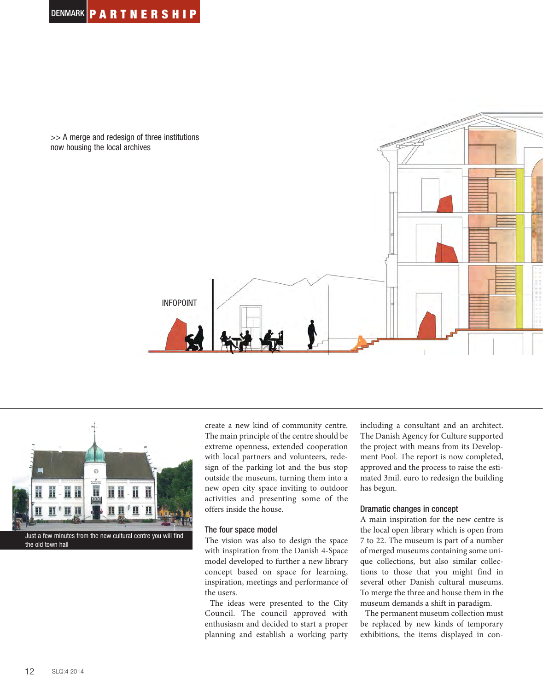



create a new kind of community centre. The main principle of the centre should be extreme openness, extended cooperation with local partners and volunteers, redesign of the parking lot and the bus stop outside the museum, turning them into a new open city space inviting to outdoor activities and presenting some of the offers inside the house.

## The four space model

The vision was also to design the space with inspiration from the Danish 4-Space model developed to further a new library concept based on space for learning, inspiration, meetings and performance of the users.

The ideas were presented to the City Council. The council approved with enthusiasm and decided to start a proper planning and establish a working party including a consultant and an architect. The Danish Agency for Culture supported the project with means from its Development Pool. The report is now completed, approved and the process to raise the estimated 3mil. euro to redesign the building has begun.

## Dramatic changes in concept

A main inspiration for the new centre is the local open library which is open from 7 to 22. The museum is part of a number of merged museums containing some unique collections, but also similar collections to those that you might find in several other Danish cultural museums. To merge the three and house them in the museum demands a shift in paradigm.

The permanent museum collection must be replaced by new kinds of temporary exhibitions, the items displayed in con-